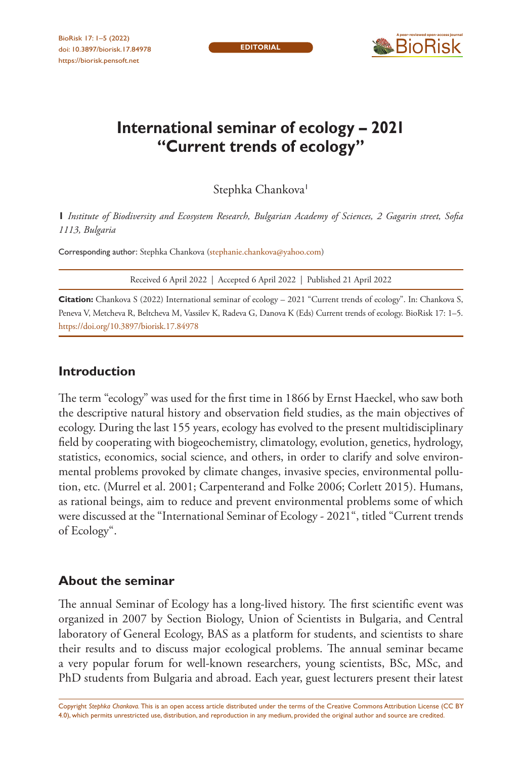

# **International seminar of ecology – 2021 "Current trends of ecology"**

Stephka Chankova<sup>1</sup>

**1** *Institute of Biodiversity and Ecosystem Research, Bulgarian Academy of Sciences, 2 Gagarin street, Sofia 1113, Bulgaria*

Corresponding author: Stephka Chankova ([stephanie.chankova@yahoo.com](mailto:stephanie.chankova@yahoo.com))

Received 6 April 2022 | Accepted 6 April 2022 | Published 21 April 2022

**Citation:** Chankova S (2022) International seminar of ecology – 2021 "Current trends of ecology". In: Chankova S, Peneva V, Metcheva R, Beltcheva M, Vassilev K, Radeva G, Danova K (Eds) Current trends of ecology. BioRisk 17: 1–5. <https://doi.org/10.3897/biorisk.17.84978>

# **Introduction**

The term "ecology" was used for the first time in 1866 by Ernst Haeckel, who saw both the descriptive natural history and observation field studies, as the main objectives of ecology. During the last 155 years, ecology has evolved to the present multidisciplinary field by cooperating with biogeochemistry, climatology, evolution, genetics, hydrology, statistics, economics, social science, and others, in order to clarify and solve environmental problems provoked by climate changes, invasive species, environmental pollution, etc. (Murrel et al. 2001; Carpenterand and Folke 2006; Corlett 2015). Humans, as rational beings, aim to reduce and prevent environmental problems some of which were discussed at the "International Seminar of Ecology - 2021", titled "Current trends of Ecology".

# **About the seminar**

The annual Seminar of Ecology has a long-lived history. The first scientific event was organized in 2007 by Section Biology, Union of Scientists in Bulgaria, and Central laboratory of General Ecology, BAS as a platform for students, and scientists to share their results and to discuss major ecological problems. The annual seminar became a very popular forum for well-known researchers, young scientists, BSc, MSc, and PhD students from Bulgaria and abroad. Each year, guest lecturers present their latest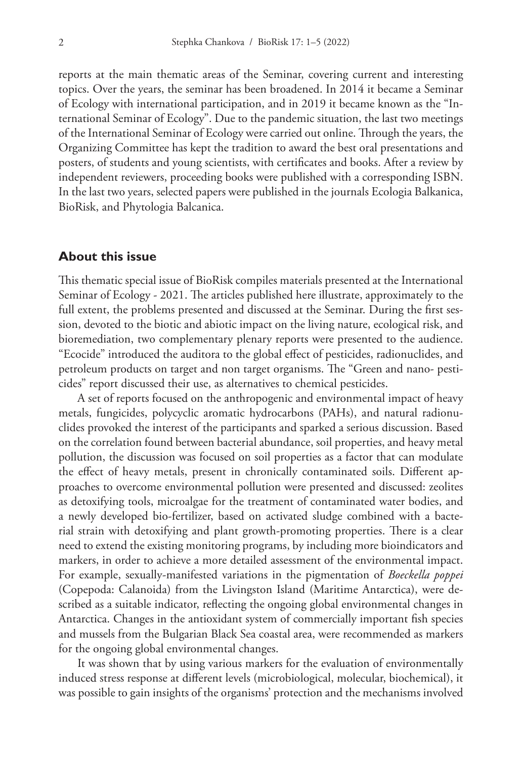reports at the main thematic areas of the Seminar, covering current and interesting topics. Over the years, the seminar has been broadened. In 2014 it became a Seminar of Ecology with international participation, and in 2019 it became known as the "International Seminar of Ecology". Due to the pandemic situation, the last two meetings of the International Seminar of Ecology were carried out online. Through the years, the Organizing Committee has kept the tradition to award the best oral presentations and posters, of students and young scientists, with certificates and books. After a review by independent reviewers, proceeding books were published with a corresponding ISBN. In the last two years, selected papers were published in the journals Ecologia Balkanica, BioRisk, and Phytologia Balcanica.

#### **About this issue**

This thematic special issue of BioRisk compiles materials presented at the International Seminar of Ecology - 2021. The articles published here illustrate, approximately to the full extent, the problems presented and discussed at the Seminar. During the first session, devoted to the biotic and abiotic impact on the living nature, ecological risk, and bioremediation, two complementary plenary reports were presented to the audience. "Ecocide" introduced the auditora to the global effect of pesticides, radionuclides, and petroleum products on target and non target organisms. The "Green and nano- pesticides" report discussed their use, as alternatives to chemical pesticides.

A set of reports focused on the anthropogenic and environmental impact of heavy metals, fungicides, polycyclic aromatic hydrocarbons (PAHs), and natural radionuclides provoked the interest of the participants and sparked a serious discussion. Based on the correlation found between bacterial abundance, soil properties, and heavy metal pollution, the discussion was focused on soil properties as a factor that can modulate the effect of heavy metals, present in chronically contaminated soils. Different approaches to overcome environmental pollution were presented and discussed: zeolites as detoxifying tools, microalgae for the treatment of contaminated water bodies, and a newly developed bio-fertilizer, based on activated sludge combined with a bacterial strain with detoxifying and plant growth-promoting properties. There is a clear need to extend the existing monitoring programs, by including more bioindicators and markers, in order to achieve a more detailed assessment of the environmental impact. For example, sexually-manifested variations in the pigmentation of *Boeckella poppei* (Copepoda: Calanoida) from the Livingston Island (Maritime Antarctica), were described as a suitable indicator, reflecting the ongoing global environmental changes in Antarctica. Changes in the antioxidant system of commercially important fish species and mussels from the Bulgarian Black Sea coastal area, were recommended as markers for the ongoing global environmental changes.

It was shown that by using various markers for the evaluation of environmentally induced stress response at different levels (microbiological, molecular, biochemical), it was possible to gain insights of the organisms' protection and the mechanisms involved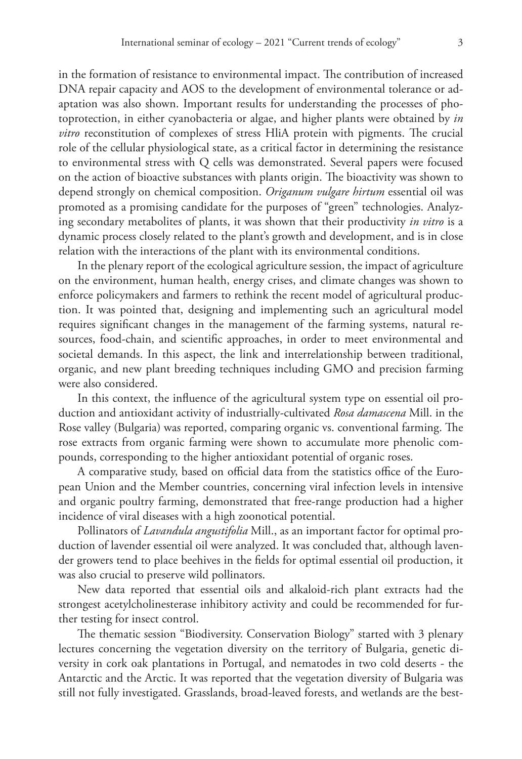in the formation of resistance to environmental impact. The contribution of increased DNA repair capacity and AOS to the development of environmental tolerance or adaptation was also shown. Important results for understanding the processes of photoprotection, in either cyanobacteria or algae, and higher plants were obtained by *in vitro* reconstitution of complexes of stress HliA protein with pigments. The crucial role of the cellular physiological state, as a critical factor in determining the resistance to environmental stress with Q cells was demonstrated. Several papers were focused on the action of bioactive substances with plants origin. The bioactivity was shown to depend strongly on chemical composition. *Origanum vulgare hirtum* essential oil was promoted as a promising candidate for the purposes of "green" technologies. Analyzing secondary metabolites of plants, it was shown that their productivity *in vitro* is a dynamic process closely related to the plant's growth and development, and is in close relation with the interactions of the plant with its environmental conditions.

In the plenary report of the ecological agriculture session, the impact of agriculture on the environment, human health, energy crises, and climate changes was shown to enforce policymakers and farmers to rethink the recent model of agricultural production. It was pointed that, designing and implementing such an agricultural model requires significant changes in the management of the farming systems, natural resources, food-chain, and scientific approaches, in order to meet environmental and societal demands. In this aspect, the link and interrelationship between traditional, organic, and new plant breeding techniques including GMO and precision farming were also considered.

In this context, the influence of the agricultural system type on essential oil production and antioxidant activity of industrially-cultivated *Rosa damascena* Mill. in the Rose valley (Bulgaria) was reported, comparing organic vs. conventional farming. The rose extracts from organic farming were shown to accumulate more phenolic compounds, corresponding to the higher antioxidant potential of organic roses.

A comparative study, based on official data from the statistics office of the European Union and the Member countries, concerning viral infection levels in intensive and organic poultry farming, demonstrated that free-range production had a higher incidence of viral diseases with a high zoonotical potential.

Pollinators of *Lavandula angustifolia* Mill., as an important factor for optimal production of lavender essential oil were analyzed. It was concluded that, although lavender growers tend to place beehives in the fields for optimal essential oil production, it was also crucial to preserve wild pollinators.

New data reported that essential oils and alkaloid-rich plant extracts had the strongest acetylcholinesterase inhibitory activity and could be recommended for further testing for insect control.

The thematic session "Biodiversity. Conservation Biology" started with 3 plenary lectures concerning the vegetation diversity on the territory of Bulgaria, genetic diversity in cork oak plantations in Portugal, and nematodes in two cold deserts - the Antarctic and the Arctic. It was reported that the vegetation diversity of Bulgaria was still not fully investigated. Grasslands, broad-leaved forests, and wetlands are the best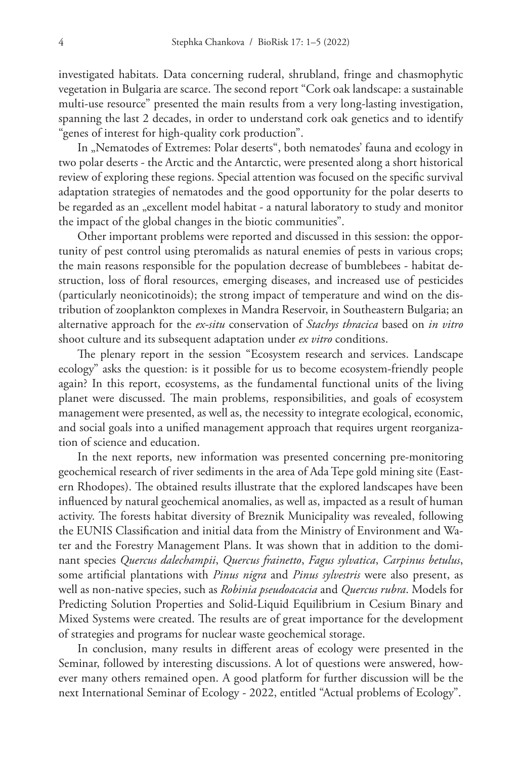investigated habitats. Data concerning ruderal, shrubland, fringe and chasmophytic vegetation in Bulgaria are scarce. The second report "Cork oak landscape: a sustainable multi-use resource" presented the main results from a very long-lasting investigation, spanning the last 2 decades, in order to understand cork oak genetics and to identify "genes of interest for high-quality cork production".

In "Nematodes of Extremes: Polar deserts", both nematodes' fauna and ecology in two polar deserts - the Arctic and the Antarctic, were presented along a short historical review of exploring these regions. Special attention was focused on the specific survival adaptation strategies of nematodes and the good opportunity for the polar deserts to be regarded as an "excellent model habitat - a natural laboratory to study and monitor the impact of the global changes in the biotic communities".

Other important problems were reported and discussed in this session: the opportunity of pest control using pteromalids as natural enemies of pests in various crops; the main reasons responsible for the population decrease of bumblebees - habitat destruction, loss of floral resources, emerging diseases, and increased use of pesticides (particularly neonicotinoids); the strong impact of temperature and wind on the distribution of zooplankton complexes in Mandra Reservoir, in Southeastern Bulgaria; an alternative approach for the *ex-situ* conservation of *Stachys thracica* based on *in vitro* shoot culture and its subsequent adaptation under *ex vitro* conditions.

The plenary report in the session "Ecosystem research and services. Landscape ecology" asks the question: is it possible for us to become ecosystem-friendly people again? In this report, ecosystems, as the fundamental functional units of the living planet were discussed. The main problems, responsibilities, and goals of ecosystem management were presented, as well as, the necessity to integrate ecological, economic, and social goals into a unified management approach that requires urgent reorganization of science and education.

In the next reports, new information was presented concerning pre-monitoring geochemical research of river sediments in the area of Ada Tepe gold mining site (Eastern Rhodopes). The obtained results illustrate that the explored landscapes have been influenced by natural geochemical anomalies, as well as, impacted as a result of human activity. The forests habitat diversity of Breznik Municipality was revealed, following the EUNIS Classification and initial data from the Ministry of Environment and Water and the Forestry Management Plans. It was shown that in addition to the dominant species *Quercus dalechampii*, *Quercus frainetto*, *Fagus sylvatica*, *Carpinus betulus*, some artificial plantations with *Pinus nigra* and *Pinus sylvestris* were also present, as well as non-native species, such as *Robinia pseudoacacia* and *Quercus rubra*. Models for Predicting Solution Properties and Solid-Liquid Equilibrium in Cesium Binary and Mixed Systems were created. The results are of great importance for the development of strategies and programs for nuclear waste geochemical storage.

In conclusion, many results in different areas of ecology were presented in the Seminar, followed by interesting discussions. A lot of questions were answered, however many others remained open. A good platform for further discussion will be the next International Seminar of Ecology - 2022, entitled "Actual problems of Ecology".